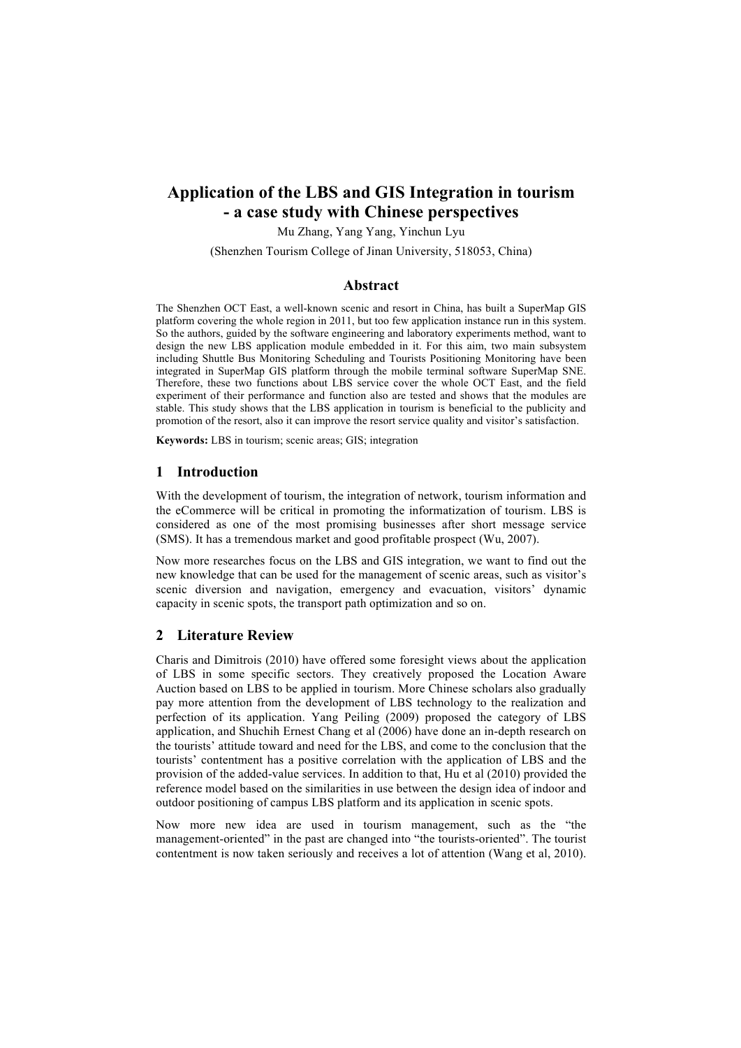# **Application of the LBS and GIS Integration in tourism - a case study with Chinese perspectives**

Mu Zhang, Yang Yang, Yinchun Lyu

(Shenzhen Tourism College of Jinan University, 518053, China)

## **Abstract**

The Shenzhen OCT East, a well-known scenic and resort in China, has built a SuperMap GIS platform covering the whole region in 2011, but too few application instance run in this system. So the authors, guided by the software engineering and laboratory experiments method, want to design the new LBS application module embedded in it. For this aim, two main subsystem including Shuttle Bus Monitoring Scheduling and Tourists Positioning Monitoring have been integrated in SuperMap GIS platform through the mobile terminal software SuperMap SNE. Therefore, these two functions about LBS service cover the whole OCT East, and the field experiment of their performance and function also are tested and shows that the modules are stable. This study shows that the LBS application in tourism is beneficial to the publicity and promotion of the resort, also it can improve the resort service quality and visitor's satisfaction.

**Keywords:** LBS in tourism; scenic areas; GIS; integration

## **1 Introduction**

With the development of tourism, the integration of network, tourism information and the eCommerce will be critical in promoting the informatization of tourism. LBS is considered as one of the most promising businesses after short message service (SMS). It has a tremendous market and good profitable prospect (Wu, 2007).

Now more researches focus on the LBS and GIS integration, we want to find out the new knowledge that can be used for the management of scenic areas, such as visitor's scenic diversion and navigation, emergency and evacuation, visitors' dynamic capacity in scenic spots, the transport path optimization and so on.

#### **2 Literature Review**

Charis and Dimitrois (2010) have offered some foresight views about the application of LBS in some specific sectors. They creatively proposed the Location Aware Auction based on LBS to be applied in tourism. More Chinese scholars also gradually pay more attention from the development of LBS technology to the realization and perfection of its application. Yang Peiling (2009) proposed the category of LBS application, and Shuchih Ernest Chang et al (2006) have done an in-depth research on the tourists' attitude toward and need for the LBS, and come to the conclusion that the tourists' contentment has a positive correlation with the application of LBS and the provision of the added-value services. In addition to that, Hu et al (2010) provided the reference model based on the similarities in use between the design idea of indoor and outdoor positioning of campus LBS platform and its application in scenic spots.

Now more new idea are used in tourism management, such as the "the management-oriented" in the past are changed into "the tourists-oriented". The tourist contentment is now taken seriously and receives a lot of attention (Wang et al, 2010).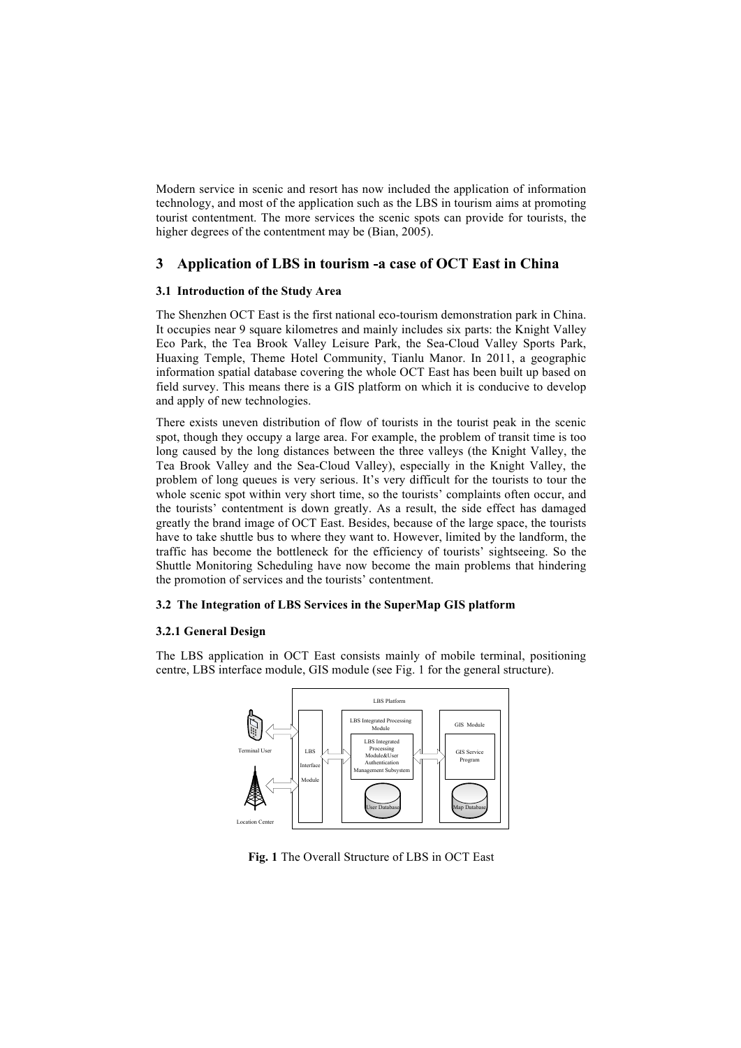Modern service in scenic and resort has now included the application of information technology, and most of the application such as the LBS in tourism aims at promoting tourist contentment. The more services the scenic spots can provide for tourists, the higher degrees of the contentment may be (Bian, 2005).

## **3 Application of LBS in tourism -a case of OCT East in China**

#### **3.1 Introduction of the Study Area**

The Shenzhen OCT East is the first national eco-tourism demonstration park in China. It occupies near 9 square kilometres and mainly includes six parts: the Knight Valley Eco Park, the Tea Brook Valley Leisure Park, the Sea-Cloud Valley Sports Park, Huaxing Temple, Theme Hotel Community, Tianlu Manor. In 2011, a geographic information spatial database covering the whole OCT East has been built up based on field survey. This means there is a GIS platform on which it is conducive to develop and apply of new technologies.

There exists uneven distribution of flow of tourists in the tourist peak in the scenic spot, though they occupy a large area. For example, the problem of transit time is too long caused by the long distances between the three valleys (the Knight Valley, the Tea Brook Valley and the Sea-Cloud Valley), especially in the Knight Valley, the problem of long queues is very serious. It's very difficult for the tourists to tour the whole scenic spot within very short time, so the tourists' complaints often occur, and the tourists' contentment is down greatly. As a result, the side effect has damaged greatly the brand image of OCT East. Besides, because of the large space, the tourists have to take shuttle bus to where they want to. However, limited by the landform, the traffic has become the bottleneck for the efficiency of tourists' sightseeing. So the Shuttle Monitoring Scheduling have now become the main problems that hindering the promotion of services and the tourists' contentment.

## **3.2 The Integration of LBS Services in the SuperMap GIS platform**

#### **3.2.1 General Design**

The LBS application in OCT East consists mainly of mobile terminal, positioning centre, LBS interface module, GIS module (see Fig. 1 for the general structure).



**Fig. 1** The Overall Structure of LBS in OCT East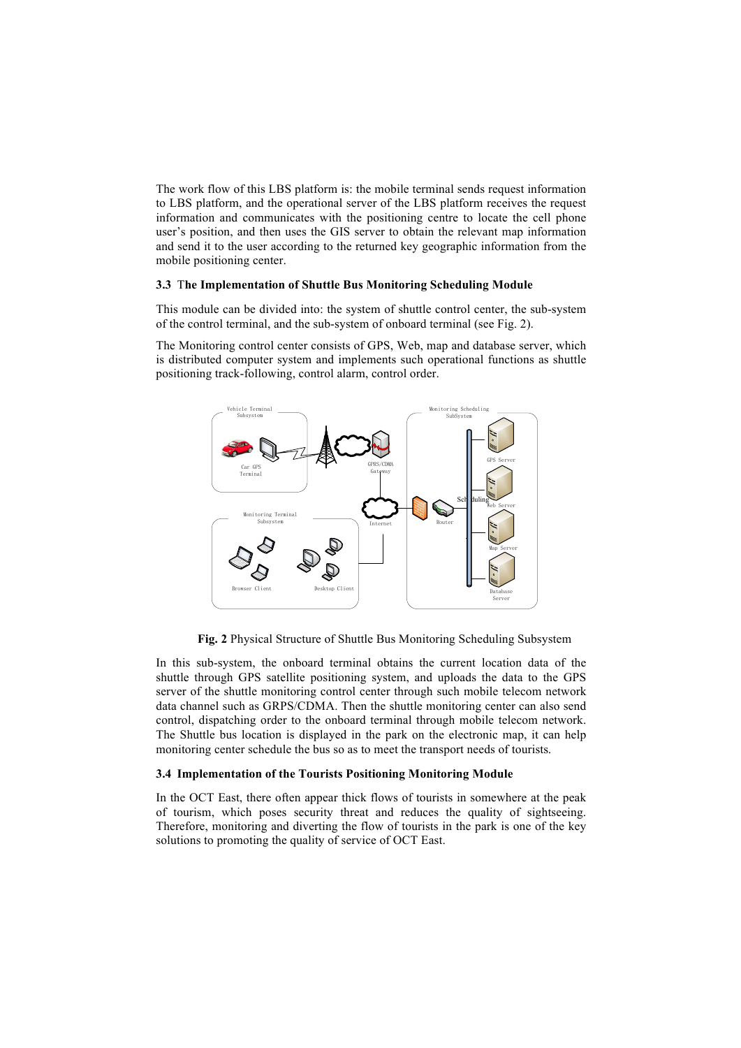The work flow of this LBS platform is: the mobile terminal sends request information to LBS platform, and the operational server of the LBS platform receives the request information and communicates with the positioning centre to locate the cell phone user's position, and then uses the GIS server to obtain the relevant map information and send it to the user according to the returned key geographic information from the mobile positioning center.

#### **3.3** T**he Implementation of Shuttle Bus Monitoring Scheduling Module**

This module can be divided into: the system of shuttle control center, the sub-system of the control terminal, and the sub-system of onboard terminal (see Fig. 2).

The Monitoring control center consists of GPS, Web, map and database server, which is distributed computer system and implements such operational functions as shuttle positioning track-following, control alarm, control order.



**Fig. 2** Physical Structure of Shuttle Bus Monitoring Scheduling Subsystem

In this sub-system, the onboard terminal obtains the current location data of the shuttle through GPS satellite positioning system, and uploads the data to the GPS server of the shuttle monitoring control center through such mobile telecom network data channel such as GRPS/CDMA. Then the shuttle monitoring center can also send control, dispatching order to the onboard terminal through mobile telecom network. The Shuttle bus location is displayed in the park on the electronic map, it can help monitoring center schedule the bus so as to meet the transport needs of tourists.

## **3.4 Implementation of the Tourists Positioning Monitoring Module**

In the OCT East, there often appear thick flows of tourists in somewhere at the peak of tourism, which poses security threat and reduces the quality of sightseeing. Therefore, monitoring and diverting the flow of tourists in the park is one of the key solutions to promoting the quality of service of OCT East.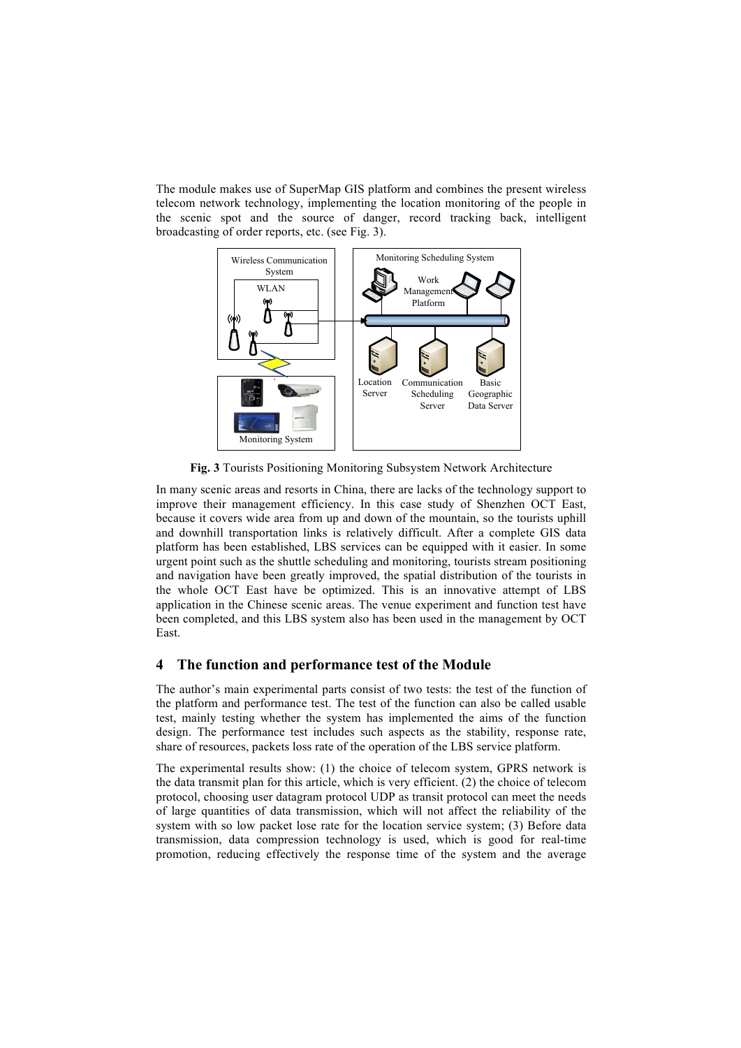The module makes use of SuperMap GIS platform and combines the present wireless telecom network technology, implementing the location monitoring of the people in the scenic spot and the source of danger, record tracking back, intelligent broadcasting of order reports, etc. (see Fig. 3).



**Fig. 3** Tourists Positioning Monitoring Subsystem Network Architecture

In many scenic areas and resorts in China, there are lacks of the technology support to improve their management efficiency. In this case study of Shenzhen OCT East, because it covers wide area from up and down of the mountain, so the tourists uphill and downhill transportation links is relatively difficult. After a complete GIS data platform has been established, LBS services can be equipped with it easier. In some urgent point such as the shuttle scheduling and monitoring, tourists stream positioning and navigation have been greatly improved, the spatial distribution of the tourists in the whole OCT East have be optimized. This is an innovative attempt of LBS application in the Chinese scenic areas. The venue experiment and function test have been completed, and this LBS system also has been used in the management by OCT East.

## **4 The function and performance test of the Module**

The author's main experimental parts consist of two tests: the test of the function of the platform and performance test. The test of the function can also be called usable test, mainly testing whether the system has implemented the aims of the function design. The performance test includes such aspects as the stability, response rate, share of resources, packets loss rate of the operation of the LBS service platform.

The experimental results show: (1) the choice of telecom system, GPRS network is the data transmit plan for this article, which is very efficient. (2) the choice of telecom protocol, choosing user datagram protocol UDP as transit protocol can meet the needs of large quantities of data transmission, which will not affect the reliability of the system with so low packet lose rate for the location service system; (3) Before data transmission, data compression technology is used, which is good for real-time promotion, reducing effectively the response time of the system and the average